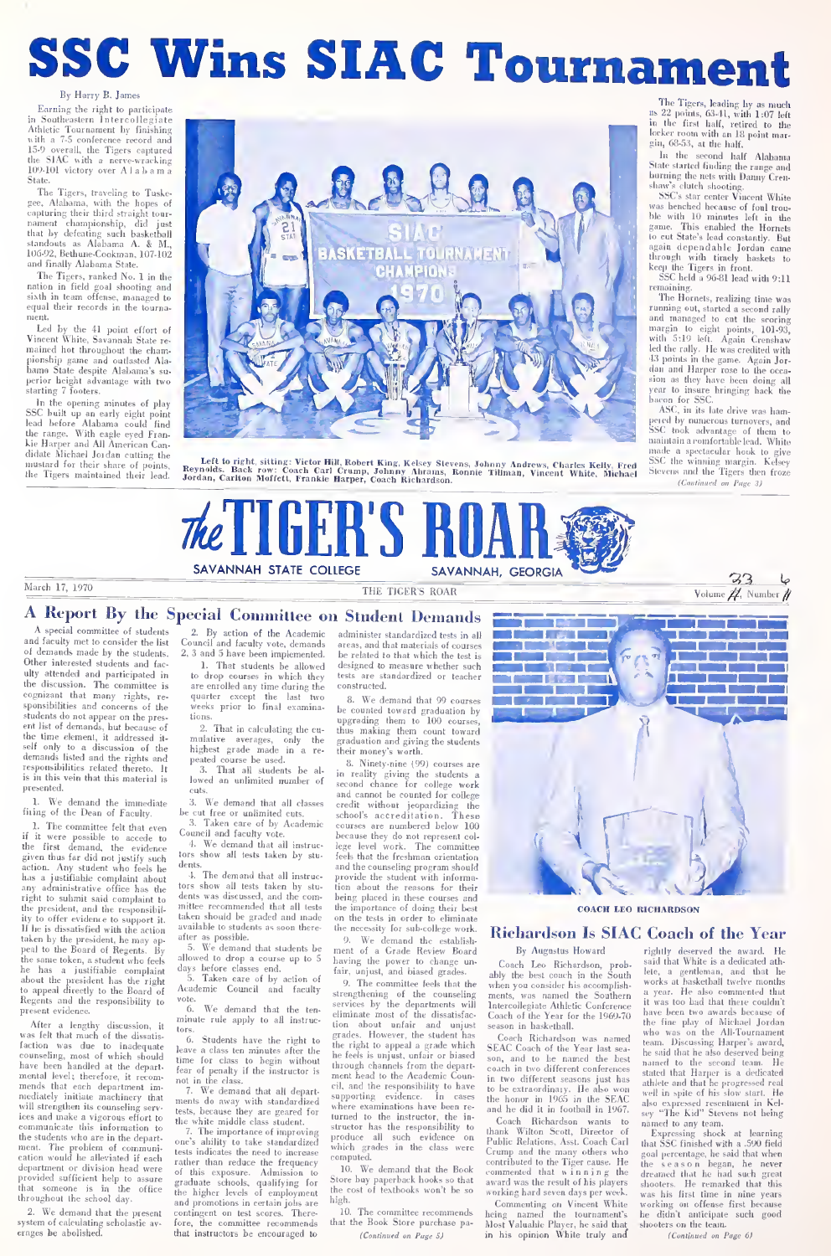# SSC Wins SIAC Tournament

Earning the right to participate<br>Southeastern Intercollegiate in Southeastern Intercollegiate<br>Athletic Tournament by finishing with a *t*-5 conference record and<br>15-9 overall, the Tigers captured<br>the SIAC with a nerve-wracking 109-101 victory over Alabam

State. The Tigers, traveling to Tuskcgee, Atanama, with the hopes of **capturing their third straight tour**nament championship, did just that by defeating such basketball standouts as Alabama A. & M., 106-92, Bethune-Cookman, 107-102 roo-sz, neurune-Cookman,<br>and finally Alabama State.

The Tigers, ranked No. I in the nation in field goal shooting anil sixth in team offense, managed to sixui in team oriense, managed to<br>equal their records in the tourna-

ment.<br>Led by the 41 point effort of Led by the 41 point effort of<br>Vincent White, Savannah State re-<br>mained hot throughout the cham-<br>pionship game and outlasted Alajiionshiii game and outlasted Ala- bama State despite Alabama's su- perior height advantage with two starting <sup>7</sup> foolers. in the opening minutes of play SSC built up an early eight point

lead before Alabama could find the range. With eagle eyed Frankie Harper and All American Can-didate Michael Jordan cutting the mustard for their share of points, Re<br>the Tigers maintained their lead. Jo



AND THE COLLEGE SAVANNAH, GEORGA 2002

The Tigers, leading by as much as 22 points, 6341, wilh 1:07 left ill the first half, retired to the

In the second half. Alabama In the second half Alabama State started finding ihc range ami burning the nels with Danny Cren- shaw's clutch shooting.

s star center Vincent White<br>SSC's star center Vincent White<br>as henched hecause of foul trou was benched because of foul trou-<br>ble with 10 minutes left in the<br>game. This enabled the Hornets ble wilh 10 minutes left in die<br>game. This enabled the Hornels<br>lo cut Slate's lead constantly. But<br>again dependable Jordan came<br>through with timely baskets to<br>keep ite Tigers in front.<br>SSC held a %.81 lead with 9:11<br>1

remaining.<br>The Hornets, realizing time was

Transfer to the street and second rathly<br>running out, started a second rathly<br>and managed to cut the secring margin to eight points, 101-33,<br>with 5:19 left. Again Crenshaw<br>led the rathy. He was credited with<br>35 paints in t sion as they have been doing all<br>year to insure bringing back the<br>bacon for SSC.

ASC, in its late drive was ham-<br>pered by numerous turnovers, and peii'd by numerous turnovers, and SSC look advantage of lliem to maintain a romfortable lead. White<br>made a spectacular hook to give<br>SSC the winning margin. Kelscy Stevens and the Tigers then froz

Volume  $\not\!\!\! Z$ , Number

March 17, 1970  $\frac{6\frac{3}{3}}{\text{Volame }\mathcal{H}}$  Number  $\mathcal{H}$ 

# A Report By the Special Committee on Student Demands<br>A special committee of students  $\frac{2}{2}$ . By action of the Academic administer standardized tests in all

and faculty met to consider the list Council and faculty vote, demands made and faculty vote, demands made by the students. 2, 3 and 5 have been implemented. Let the interested students and fac- 1. That students be allowed ulty attended and participated in the discussion. The committee is cognizant that many rights, restudents do not appear on the present list of demands, but because of<br>the time element, it addressed it-<br>self only to a discussion of the demands listed and the rights and<br>demands listed and the rights and<br>responsibilities related thereto. It is in this vein that this material is

presented. 1- We demand the immediate fiting of the Dean of Faculty.<br>1. The committee felt that even

1. The committee felt that even<br>if it were possible to accede to the first demand, the evidence<br>given thus far did not justify such tors<br>action. Any student who feels he and thus for did not justify such tors<br>action. Any student who feels he dents has a justifiable complaint about any administrative office has the lors right to submit said complaint to the president, and the responsibil-<br>ity to offer evidence to support it. If he is dissatisfied with the action ave<br>taken by the president, he may appeal to the Board of Regents. By<br>the same token, a student who feels allow<br>he has a justifiable complaint <sup>days</sup> about the president has the right<br>to appeal directly to the Board of Ac<br>Regents and the responsibility to <sup>vol</sup> present evidence.

Present evidence.<br>
After a lengthy discussion, it mit<br>
was felt that much of the dissatis-<br>
faction was due to inadequate counseling, most of which should have been handled at die depart- mental level; therefore, it recom- mends that each department im mediately initiate machinery that<br>will strengthen its counseling serv-<br>ices and make a vigorous effort to ing make a rigorous enore to the students who are in the department. The problem of communi-<br>cation would he alleviated if each cation would be alleviated if each<br>department or division head were of<br>provided sufficient help to assure gras<br>that someone is in the office that someone is in the throughout the school day.

2. We demand that the present continues that the present continues of calculating scholastic avsystem of calculating scholastic av- for<br>erages be abolished.

A special committee of students <sup>2</sup> 2. By action of the Academic and faculty met to consider the list Council and faculty vote, demands

1. That students be allowed<br>to drop courses in which they are enrolled any time during the quarter except the last two<br>weeks prior to final examina-be<br>weeks prior to final examina-be<br>2. That in calculating the cu-<br>mulative averages, only the gra tions.<br>2. That in calculating the o

highest grade made in a re- peated course be used.

3. That all students be al-<br>lowed an unlimited number of sec

eus.<br>3. We demand that all classes – en be cut free or unlimited cuts. 3. Taken care of by Academic

Council and faculty vote. We demand that all instruc-

tors show all tests taken by stu dents. 4. The demand that all instruc-

tors show all tests taken by stu- dents was discussed, and the com-mittee recommended that all tests taken should be graded and made available to students as soon thereafter as possible.

5. We demand that students be ment of allowed to drop a course up to 5 days before classes end.

days before classes end. 5. Taken care of by action of Academic Council and faculty

vote. 6. We demand that the ten- minute rule apply to all instruc-

tors.<br>
6. Students have the right to  $\frac{gr}{dt}$ Leave a class ten minutes after the time<br>fear of class ten minutes after the time for class to begin without<br>fear of penalty if the instructor is not<br>not in the class.

ments do away with standardized tests, because they are geared for the white middle class student.

The importance of improving one's ability to take standardized tests indicates ihe need lo increase rather than reduce the frequency of ibis exposure. Admission lo graduate schools, qualifying for the higher levels of employment and promotions in certain jobs are high. contingent on test scores. There the committee recon that instructors be encouraged to

administer standardized tests in all areas, and that materials of courses be related to that which the test is designed to measure whether tests are standardized or teacher constructed.<br>8. We demand that 99 cours

8. We demand that 99 courses be counted toward graduation by upgrading them to 100 courses, thus making them count toward graduation and giving the students their money's worth. 8. Ninety-nine (99) courses are

in reality giving the students a second chance for college work<br>and cannot be counted for college<br>credit without jeopardizing the<br>courses are numbered below 100<br>because they do not represent col-<br>lege level work. The committee<br>cause they do not represent because they do not represent col-<br>lege level work. The committee and the counseling program should provide the student with information about the reasons for their tion spour me reasons for their<br>being placed in these courses and<br>the importance of doing their boat portance of doing their best on the tests in order to eliminate the necessity for sub-college work.

9. We demand the establish-<br>ent of a Grade Review Board on the necessity for sub-college work.<br>
9. We demand the establishment of a Grade Review Board<br>
having the power to change unfair, unjust, and biased grade

7. We demand that all depart-<br>7. We demand that all depart-<br>8. supporting evidence. 9. The committee feels that the  $\frac{400y}{\text{when}}$ strengthening of the counseling me<br>services by the departments will lnt<br>eliminate most of the dissatisfac- Cog tion about unfair and unjust grades. However, the student has the right to appeal a grade which he feels is unjust, unfair or biased through channels from the depart ment head to the Academic C cil, and the responsibility to have<br>summarting evidence. In cases supporting evidence. In cases <sub>the</sub><br>where examinations have been re---<sub>-an</sub> where examinations have been re-<br>structor has the responsibility to the<br>produce all such evidence on produce all such evidence on<br>which grades in the class were which grades in the class were computed.<br>10 We

We demand that the Book Store buy paperback hooks so that the cost of textbooks won't be so the so high. C<br>10. The committee recommends hein

that the Book Store purchase pa- (Continued on Page S)



COACH LEO RICHARDSON

# Richardson Is SIAC Coach of the Year

#### By Augustus Howard

Coach Leo Richardson, prob-ably the best coach in the South when you consider his accomplishwas named the Southern Intercollegiate Athletic Conference Coach of the Year for the 1969-70 season in basketball.

Coach Richardson was named SEAC Coach of the Year last sea son, and to he named the best<br>coach in two different conferences coach in two different conferences<br>in two different seasons just has<br>to be extraordinary. He also won<br>the honor in 1965 in the SEAC<br>and he did it in football in 1967.

Coach Richardson wants to <sub>nai</sub><br>thank Wilton Scott, Director of Public Relations, Asst. Coach Carl <sub>tha</sub> Crump and the many others who contributed lo the Tiger cause. He commented that winning the  $\frac{d}{dx}$  award was the result of his players  $\frac{d}{dx}$ working hard seven days per week.

Commenting on Vincent White working named the tournament's he<br>blost Valuable Flayer, he said that shoot<br>in his opinion White truly and

rightly deserved ihe award. He said ihal While isa dedicated alhlele, a gentleman, and that he works at basketball twelve months rete, a gentieman, and that the skeedilal twelve months<br>a year. He also commented that<br>it was too bad that there couldn't<br>have been two awards because of have been two awards because of<br>the fine play of Michael Jordan who was on the All-Tournament team. Discussing Harper's award, he said that he also deserved being named to the second team. He<br>stated that Harper is a dedicated<br>athlete and that he progressed real<br>also expressed resentment in Kel-<br>also expressed resentment in Kel-<br>sey "The Kid" Stevens not being

named toany team. Expressing shock at learning that SSC finished with a .590 field goal percentage, he said that when the season began, he never dreamed (hat he had such great shooters. He remarked that this<br>was his first time in nine years<br>working on offense first because<br>he didn't anticipate such good shooters on the team.<br>(Continued on I (Continued on Page 6)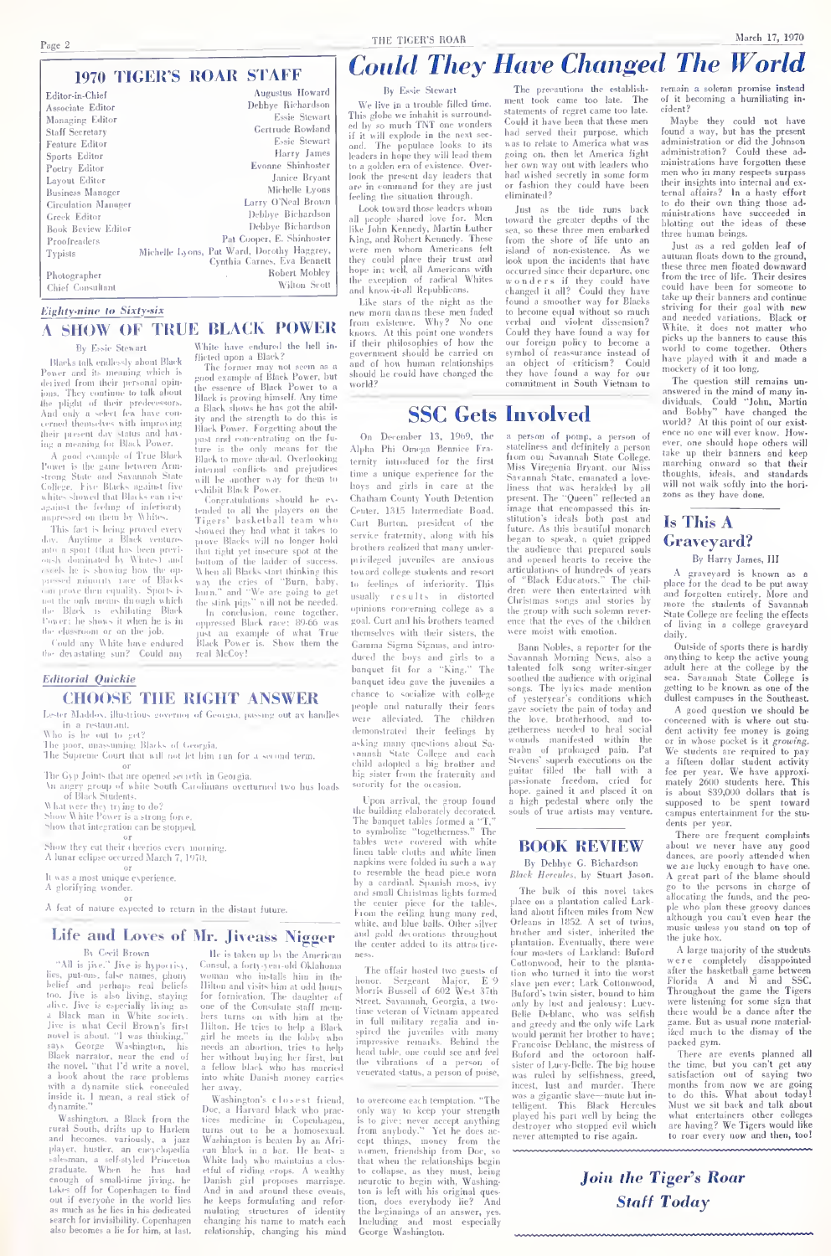# **1970 TIGER'S ROAR STAFF**

| Editor-in-Chief     | Augustus Howard                                                           |
|---------------------|---------------------------------------------------------------------------|
| Associate Editor    | Debbye Richardson                                                         |
| Managing Editor     | Essie Stewart                                                             |
| Staff Secretary     | Gertrude Rowland                                                          |
| Feature Editor      | Essie Stewart                                                             |
| Sports Editor       | Harry James                                                               |
| Poetry Editor       | Evonne Shinhoster                                                         |
| Layout Editor       | Janice Bryant                                                             |
| Business Manager    | Michelle Lyons                                                            |
| Circulation Manager | Larry O'Neal Brown                                                        |
| Greek Editor        | Debbye Bichardson                                                         |
| Book Beview Editor  | Debbye Bichardson                                                         |
| Proofreaders        | Pat Cooper, E. Shinhoster                                                 |
| Typists             | Michelle Lyons, Pat Ward, Dorothy Haggrey,<br>Cynthia Carnes, Eva Bennett |
| Photographer        | Robert Mobley                                                             |
| Chief Consultant    | Wilton Scott                                                              |

Eighty-nine to Sixty-six

# **A SHOW OF TRUE BLACK POWER** White have endured the hell in flicted upon a Black?

The former may not seem as a<br>good example of Black Power, but<br>the essence of Black Power to a

the essence of buck rower to a<br>Black shows he has got the ability and the strength to do this is

ity and the strength to do this is

past and concentrating on the fu-<br>ture is the only means for the<br>Black to move ahead. Overlooking

internal conflicts and prejudices<br>will be another way for them to

will be another way for them to<br>exhibit Black Power.<br>Congratulations should be ex-

tended to all the players on the

showed they had what it takes to<br>prove Blacks will no longer hold

prove Blacks will no longer hold in<br>the transform of the loster of the location of the ladder of success<br>part of the radial Blacks start thinking this way the crises of<br> $\gamma$  "Burn, halve in longer" and "We are going to ge

#### **Ro Fasie Stewart**

Blacks talk endlessly about Black Power and its meaning which is<br>derived from their personal opin derived from their personal opinion<br>long-long displacement of the plight of their predecessors.<br>And only a select few have concerned themselves with improving<br>their present day statis and having a meaning for Black Power.

ing a meaning tor Black Power.<br>A good example of True Black<br>Power is the game between Arm-<br>strong State and Savannah State<br>College. Five Blacks against five<br>whites showed that Blacks can rise against the feeling of inferiority

This fact is being proved every<br>e. Anytime a Black ventures one, Anyline a Black ventures,<br>note a sport (that has been previously dominated by Whites) and ousty dominated by whites) and<br>cycels he is showing how the op-<br>orissed minority race of Blacks can prove their equality. Sport not the only means through which the Black is exhibiting Black<br>Power: he shows it when he is in the elassroom or on the job.

Could any White have endured<br>the devastating sun? Could any

**Editorial Quickie CHOOSE THE RIGHT ANSWER** 

Lester Maddov, illustrious governor of Georgia, passing out ax handles in a res

Who is he out to get?<br>The poor, massuming Blacks of Georgia,<br>The Supreme Court that will not let him run for a second term.

The Gyp Joints that are opened sevieth in Georgia.<br>An angry group of white South Carolinnans overturned two hus loads<br>of Black Students.

of brack putterns.<br>What were they trying to do?<br>Show White Power is a strong force

Show that integration can be stopped ...

ow they eat their eleverios every morning. A lunar eclipse occurred March 7, 1970.

 $-01$ It was a most unique experience.<br>A glorifying wonder.

A feat of nature expected to return in the distant future.

# Life and Loves of Mr. Jiveass Nigger

### By Cevil Brown

By Ceril Brown in Section 1, the state of the state of the state of the state of the state of the state of the state of the state of the state of the state of the state of the state of the state of the state of the state says George Washington, his<br>Black narrator, near the end of<br>the novel. "that I'd write a novel,<br>a book ahout the race problems<br>with a dynamite stick concealed inside it. I mean, a real stick of

Washington, a Black fro Washington, a Black from the truth South, drifts up to Harlem<br>and hecomes, variously, a jazz<br>player, hastler, an eneyclopedia<br>salesman, a self-styled Princetion<br>graduate. When he has had<br>enough of small-lime ijving, he<br>tak out if everyone in the world lies out it everyone in the world ites<br>as much as he lies in his dedicated<br>search for invisibility. Copenhagen<br>also becomes a lie for him, at last.

He is taken up by the American Consul, a forty-year-old Oklahoma Consul, a forty-year-old Oklahoma<br>woman who installs him in the<br>Hilton and visits him at odd hours<br>for formication. The daughter of<br>one of the Consulate staff members turns on with him at the<br>Hilton. He tries to help a Bla girl he meets in the lobby who<br>needs an abortion, tries to help<br>her without buying her first, but<br>a fellow black who has married<br>into white Danish money carries her sway.

Washington's elaserst friend Washington's club are st<br/> $\Gamma$  linead, peach links who peach linear out to be a homosexual time of<br/>measurements of the above star of the star of the star of the<br/>star of the star of the linear star of the best i he keeps formulating and reformulating structures of identificantly changing his name to match ea  $v_0$ identity relationship, changing his mind THE TIGER'S ROAR

# **Could They Have Changed The World**

By Essie Stewart

We live in a trouble filled time This stoke we inhabit is surroun ed by so much TNT one wonders<br>if it will explode in the next second. The populace looks to its<br>leaders in hone they will lead them to a golden era of existence. Over to a gouern era or exastence. Over<br>look the present day leaders that<br>are in command for they are just<br>feeling the situation through.

Look toward those leaders whom Look toward those resters whom<br>all people shared love for. Men<br>like John Kennedy, Martin Luther<br>King, and Rohert Kennedy. These were men whom Americans felt<br>they could place their trust and<br>hope in; well, all Americans with the exception of radical Whites<br>and know-it-all Republicans.

and know-it-all Republicans.<br>Like stars of the night as the<br>new morn danns these men faded<br>from existence. Why? No one<br>knows. At this point one wonders if their philosophies of how the and of how human relationships should be could have changed the  $1.12$ 

The precautions the establishent took came too late. The statements of regret came too late. Could it have been that these m had served their purpose, which was to relate to America what was going on, then let America fight postop out then rev currented right<br>her own way out with leaders who had wished secretly in some form<br>bad wished secretly in some form<br>of fashion they could have been

Instance of the tide runs back<br>I toward the greater depths of the<br>sea, so these three men embarked<br>Irom the shore of life unto an<br>island of non-existence. As we<br>look upon the incidents that have occurred since their departure, one<br>wonders if they could have<br>changed it all? Could they have changed it all? Could they have<br>found a smoother way for Blacks<br>to become equal without so much<br>verbal and violent dissension?<br>Could they have found a way for our foreign policy to become a an object of eritiesm? Could<br>they have found a way for our<br>commitment in South Vietnam to

**SSC Gets Involved** 

On December 13, 1969, the Alpha Phi Omega Bennice Fra ternity introduced for the first time a unique experience for the boys and girls in care at the Chatham County Youth Detention Center, 1315 Intermediate Boad. Curt Burton, president of the service fraternity, along with his brothers realized that many under privileged inveniles are anxious toward college students and resort to feelings of inferiority. This usually results in distorted opinions concerning college as a goal. Curt and his brothers teamed themselves with their sisters, the Gamma Sigma Signus, and intro duced the boys and girls to a banquet fit for a "King." The banquet idea gave the juveniles a chance to socialize with college neonle and naturally their fears were alleviated. The children demonstrated their feelings by arismush and the contract of the contract of the contract of the contract of the state of the state of the state of the state of the state of the state of the state of the state of the state of the state of the state of th

Upon arrival, the group foun the building elaborately decorated.<br>The banquet tables formed a "T,"<br>to symbolize "taggetherness," The tables were covered with white<br>tables were covered with white<br>linen table cloths and white linen napkins were folded in such a way by a cardinal. Spanish moss in a caronan. Spanish moss, 1vy<br>small Christmas lights formed the center piece for the tables.<br>From the ceiling hung many red,<br>white, and blue balls. Other silver with and brac banks Other silver<br>and gold devorations throughout<br>the center added to its attractive

The offsir hosted two guests of The atturn hosted two guests of<br>honor. Sergeant Major, E 9<br>Morris Bussell of 602 West 37th<br>Street. Savannah, Georgia, a two-<br>time veteran of Vietnam appeared time veteran of Vetham appeared<br>in full military regalia and in-<br>spired the juveniles with many<br>impressive remarks. Beltind the<br>heat table, one could see and feel<br>the vibrations of a person of<br>venerated status, a person of

to overcome axis temperion. "The only way to keep your strength is to give: never accept anything<br>from anybody." Yet he does ac-<br>cept things, money from the rront snypouy. Tet ne does ac-<br>cept things, money from the<br>women, friendship from Doc, so<br>that when the relationships begin to collapse, as they must, being<br>neurotic to hegin with, Washing<br>ton is left with his original ques tion, does everyhody lie? And<br>the beginnings of an answer, yes.<br>Including and most especially the  $\frac{\log_{P}m}{\log_{P}m}$  and  $\frac{m}{\log_{P}m}$  . Washington,

a person of pomp, a person of<br>stateliness and definitely a person<br>from om Savannah State College.<br>Miss Viregenia Bryant, our Miss<br>Savannah State, emanated a love. liness that was heralded by all liness that was heralded by all<br>present. The "Queen" reflected an<br>image that encompassed this in-<br>stitution's ideals both past and<br>future. As this beautiful monarch began to speak, a quiet gripped<br>the audience that prepared souls and opened hearts to receive the<br>articulations of hundreds of years<br>of "Black Educators." The children were then entertained with Christmas songs and stories by the group with such solemn rever-<br>ence that the eyes of the children<br>were moist with emotion.

and models, a reporter for the Baram Nobles, a reporter for the Savannah Morning News, also a talented folk song writer-singer songs. The lytics made mention of yesteryear's conditions which of yesteryear's conditions which the love, brotherhood, and to getherness needed to heat scoil<br>symmetry wounds manifested within the realm of prolonged pain. Pat<br>Stevens' superb executions on the guitar filled the hall with a<br>system passionate freedom, criced for hope, gained it and p

# **BOOK REVIEW**

By Debhye G. Bichardson Black Hercules, by Stuart Jason.

The bulk of this novel takes The bulk of this novel takes and the planet<br>and about filtern miles final about filtern miles from New Orleans in 1852. A set of twins, brother and sister, inherited the plant<br>aircon Devins, Devins, brother with  $\sim$  1582 slave pen ever; Lark Cottonwood,<br>Buford's twin sister, bound to him only by lust and jeniousy: Lucy<br>Belle Deblanc, who was selfisk only by lost and jeniousy: Lucy-<br>Belle Deblanc, who was selfish<br>and greedy and the only wife Lark and greety and the only wife Larr<br>would permit her brother to have;<br>Francoise Deblane, the mistress of Buford and the octoroon half-<br>sister of Lucy-Belle. The big house was ruled by selfishness, greed,<br>incest, lust and murder. There was a gigantic slave-mute but inwas a grgantic slave---nute but in-<br>telligent. This Black Hercules<br>played his part well by heing the<br>destroyer who stopped evil which<br>never attempted to rise again.

remain a solemn promise instead of it becoming a humiliating incident?

croant:<br>Maybe they could not have<br>found a way, but has the present<br>administration or did the Johnson<br>administration? Could these administrations have forgotten these men who in many respects surpass their insights into internal and ex-<br>ternal affairs? In a hasty effort  $\frac{1}{\ln}$ to do their own thing those ad. to do their own uning those ad-<br>ministrations have succeeded in<br>blotting out the ideas of these three human beings.

tures numan nengs,<br>Just as a red golden leaf of<br>autumn floats down to the ground,<br>these three men floated downward<br>from the tree of life. Their desires<br>could have been for someone to take up their banners and contin striving for their goal with new smo neever variations. Discuss or<br>White, it does not matter who<br>picks up the banners to cause this<br>world to come together. Others have played with it and made a mockery of it too long.

mockery of it too tong.<br>The question still remains un-<br>answered in the mind of many in-<br>dividuals. Could "John, Martin<br>and Bobby" have changed the and Bobby" have changed the<br>world? At this point of our exist<br>ence no one will ever know. How ever, one should hope others will marching onward so that their<br>thoughts, ideals, and standards will not walk softly into the hori-

# Is This A Graveyard?

# By Harry James, III

or and a graveyard is known as a<br>place for the dead to be put away<br>and forgotten entirely. More and<br>more the students of Savannah<br>State College are feeling the effects<br>disting in a college graveyard daily.

Outside of sports there is hardly<br>anything to keep the active young<br>adult here at the college by the about nere at the conege by the<br>sea. Savannah State College is<br>getting to be known as one of the dullest campuses in the Southeast

A good question we should be<br>oncerned with is where out stuconcerned with is where out stu-<br>correct with is where out although the money is going.<br>Or in whose procket is it growing.<br>We students are required to pay we student a different dollar student activity<br>for the party and th dents per year.

There are frequent complaints There are irequent complaints<br>about we never have any good dances, are poorly attended when<br>we are lucky enough to have one. A great part of the blame should<br>go to the persons in charge of<br>allocating the funds, and the peo ple who plan these groovy dances music unless you stand on top of the juke hox.

A large majority of the students A large majority of the students<br>were completely disappointed<br>after the basketball game between<br>Florida A and M and SSC.<br>Throughout the game the Tigers<br>were listening for some sign that<br>there would be a dance after the game. But as usual none material-<br>ized much to the dismay of the packed gym.

There are events planned all<br>the time, but you can't get any<br>satisfaction out of saying two months from now we are going to do this. What about today!<br>Must we sit back and talk about<br>what entertainers other colleges<br>are having? We Tigers would like<br>to roar every now and then, too!

Join the Tiger's Roar **Staff Today**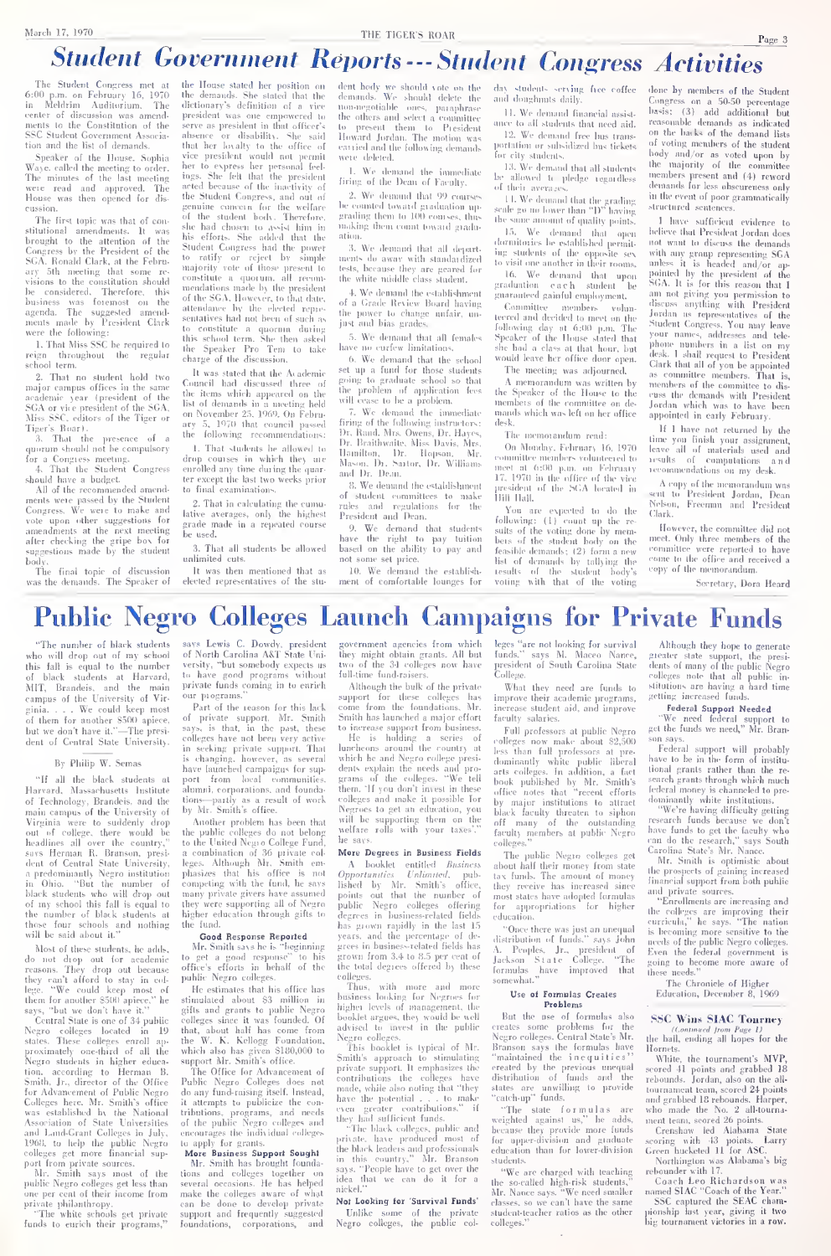# MARCH 17, 1970 THE TIGER'S ROAR<br>Student Government Reports --- Student Congress Activities

The Student Congress met at the<br>6:00 p.m. on February 16, 1970 the<br>in Meldrim Auditorium, The dicti center of discussion was amend-<br>ments to the Constitution of the ments to the Constitution of the sea<br>SSC Student Government Associa- this<br>tion and the House Studies of the House Studies

Speaker of the House. Sophia Waye. called the meeting: to order. her The minutes of the last meeting ingserved. The were read and approved. The article House was then opened for discussion.<br>The first topic was that of con-

The first topic was that of con-<br>stitutional amendments. It was his<br>brought to the attention of the Congress by the President of the Stud<br>SCA. Ronald Clark, at the February 5th meeting that some re-<br>visions to the constitution should visions to the constitution should be considered. Therefore, this business was foremost on the attack business made have a attack were the following;

1. That Miss SSC be required to<br>firm - throughout - the - regular throughout the reign throughout the regular<br>school-term.<br>- 2. That no student hold two

2. That no student hold two major campus offices in the same<br>academic year (president of the SeCA or vice president of the SGA, bist<br>Miss SSC. editors of the Tiger or ary<br>Tiger's Roar).

3. That the presence of a ([uorum should not be compulsory

for a Congress meeting. 4. That the Student Congress

should have a budget.<br>All of the recommended amend-<br>ments were passed by the Student<br>Congress. We were to make and arti vote upon other suggestions for<br>amendments at the next meeting amendments at the next meeting after checking the gripe box for suggestions made by tlie student

body.<br>Body. The final topic of discussion was the demands. The Speaker of discussion

the House stated her position on der<br>the demands. She stated that the der dictionary's definition of a vice president was one empowered to serve as pressuent in inat ourser's absence or disability. She said Ho<br>that her loyally to the office of earlier<br>to express her personal feel-<br>ings. She felt that the president<br>figs. acted because of the inactivity of<br>the Student Congress, and out of<br>genuine concern for the welfare<br>of the student body. Therefore, genuine concern for the welfare be of<br>for the student botts. Therefore, gradual choice had chosen to assist him in<br>this efforts. She added that the ation<br>Student Congress had the power as Student Congress had the power as mendations made by the president<br>of the SGA. However, to that date, <sub>of</sub> attendance by the elected repre- the sentatives had not been of such as  $\frac{1}{10}$ to constitute <sup>a</sup> quorum during this school term. She then asked the Speaker Pro Tem to take charge of the discussion

It was stated that the Academic Council had discussed three of items which appeared on the list of demands in a meeting held on November 25, 1969. On Febru-<br>ary 5, 1970 that council passed firt

the following recommendations: on toommer and the course of the courses in which the following recommendations: Dr<br>the following recommendations: Dr<br>drop courses in which they are Mic<br>enrolled any time during the quar-<br>stre except the last two weeks pri to final examination

2. That in calculating the cumu lative averages, only the highest grade made in a repeated course be used.

3. That all students be allowed unlimited cuts. It was then mentioned that as

elected representatives of the stu-

dent body we should vote on the da<br>demands. We should delete the an<br>non-negotiable ones, paraphrase the outers and senect a committee and<br>the present them to President Howard Jordan. The motion was<br>carried and the following demands port

were detect.<br>1. We demand the immediate between the Dean of Faculty.

2. We demund that 99 courses<br>he counted toward graduation up-<br>grading them to 100 courses, thus in the making them count loward gradu-

ation.<br><sup>2</sup>. We demand that all depart. ments do away with standardized<br>tests, because they are geared for<br>the white middle class stadent.

4. We demand the establishment of a Grade Review Board having

the power lo change unfair, un-just and bias grades. have no curfew limitations. 5. We demand that all females<br>have no curfew limitations.

6. We demand that the school set up a fund for those students set up a fund for those students going lo graduate school so that the problem of application fees will cease lo be a problem.

7. We demand the immediate man<br>firing of the following instructors: des<br>Dr. Rand. Mrs. Owens, Dr. Hayes, J<br>Dr. Drailhwaite, Miss Davis, Mrs. Hamilton. Dr. Mopson. Mr.<br>Mason, Dr. Sartor, Dr. Williams anne<br>and Dr. Dean. (17

8. We demand the establishment of student committees to make [1][]<br>rules and regulations for the Y<br>President and Dean. [6][6]

9. We demand that students have the right to pay tuition bei<br>based on the ability to pay and f<sub>ens</sub> not some set price.<br>. 10. We demand

10. We demand the establish- results of ment of comfortable lounges for

serving free coffee done by<br>ts daily. Congress and doughnuts daily.

11. We demand financial assistance to an students that need aid.

for city students.<br>13. We demand that all students the<br>be allowed In pledge regardless the

of their averages.<br>11. We demand that the grading string<br>scale go no lower than "D" having stri Ihe same ainonnl of (pialilv jminls.

15. We demand that open tornatories he established permil- = 106<br>hig students of the opposite sex = wit<br>to visit one another in their rooms. = anl

16. We demand that upon graduation each student be guaranlced gainful employment.

Committee members volun-<br>teered and decided to meet on the S following day at 6:00 p.m. The<br>Speaker of the House stated that — photo<br>she had a class at that hour, but — dook would leave her office door open. The meeting was adjourned.

A memorandum was written by the Speaker of the House to the members of the committee on de-  $_{\rm Jo}$ <br>mands which was left on her office ap desk.<br>The memorar

The memoramlum read: On Monday. February 16, 1970 commutes members volunteered to are<br>meet at 6:00 p.m. on February red<br>17. 1970 in the office of the vice<br>president of the SCA located in SCA<br>Hill Hall.

You are expected to do the<br>following: (1) count up the re-Fouring: (1) count up the re- Globaving: (1) count up the re-<br>sults of the voting done by mem-<br>bers of the student body on the student body on the student body on the measurements; (2) form a new feasible demands; |2) form a new list of demands by tallying the results of the student body's voting with that of IJie voting

and the neural term is the student<br>or subsidized bus tickets of voting members of the student<br>or city students, body and/or as voted upon by done by members of the Student<br>Congress on a 50-50 percentage Congres.s on a .SO-.SO percentage Imsis; (3) add additional but reasonable demands as indicated on the backs of ihc demand lists of voting members of the student body and/or as voted upon by tlie majority of the committee members present and (4) reword demands for less obscureness only in the event of poor grammatically

structuren sentences.<br>1 luve sufficient evidence to lielity that President Jordan does not want lo discuss the demands with any group represeiiling SCA unless it is headed nnd/or ap-poinletl by the president of tlie SGA. Itis for this reason that <sup>I</sup> am not giving you permission to discuss anything with President Jordan as representatives of the Student Congress. You may leave your names, addresses and tele-<br>your names, addresses and tele-<br>phone-numbers in a list on my pnone numbers in a list on my<br>desk. I shall request to President<br>Clark that all of you be appointed as committee members. That is,<br>members of the committee to dis-<br>cuss the demands with President<br>Jordan which was to have been<br>appointed in early February.

If <sup>I</sup>have not returned by the lime you finish your assignment, leave all of materials used and results of eoinputalions and letommendations on my desk,

A copy of tlic memorandum was sent to President Jordan, Dean Nelson, Freeman and President Clark.

However, the committee did not<br>meet. Only three members of the<br>committee were reported to have<br>come to the office and received a<br>copy of the memorandum.

Secretary, Dora Heard

# Public Negro Colleges Launch Campaigns for Private Funds

"The numlier of black students who will drop out of my school this fall is equal to the number – <sup>vers</sup><br>of black students at Harvard, <sup>to 1</sup> MIT, Brandeis, and the main 1973<br>campus of the University of Virempass on the currency of them for another S500 apiece, of<br>of them for another S500 apiece, of<br>but we don't have it."—The president of Central State University,

## By Philip W. Semas

"If all the black students at Harvard, Massachusetts Institute of Technology, Brandeis, and the tior<br>of Technology, Brandeis, and the tior<br>main campus of the University of Virginia were to suddenly drop out of college, there would be the<br>headlines all over the country," to l<br>says Herman R. Branson, presi- a c<br>dent of Central State University, leg<br>a predominantly Negro institution pla in Ohio. "But the number of com<br>black students who will drop out - ma of my school this fall is equal to the number of black students al those four schools and nothing will be said about it."

Most of these students, he adds.<br>
do not drop out for academic to<br>
reasons. They drop out because off<br>
they can't afford to stay in col-<br>
thege, "We could keep most of the<br>
them for another S500 apiece," he stays, "but we

Stays, our we down three in<br>Central State is one of 34 public colleges<br>Negro colleges located in 19 the<br>states. These colleges enroll ap- the<br>proximately one-third of all the wh Negro students in higher education<br>tion, according to Herman B. T<br>Smith, Jr., director of the Office Pub<br>for Advancement of Public Negro do i<br>Colleges here. Mr. Smith's office it a<br>ses established by the National trib<br>Asso 1960, to help the public Negro - to a<br>colleges get more financial sup- - Me

port from private sources.<br>Mr. Smith says most of the Mr. Smith says most of the tion<br>public Negro colleges get less than seve<br>one per cent of their income from mal<br>private philanthropy.<br>"The white schools get private supply<br>funds to enrich their programs," fou

says Lewis C. Dowdy, president good<br>of North Carolina A&T State Uni-<br>versity, "but somebody expects us<br>to have good programs without ful<br>private funds coming in to enrich our programs,"

Part of the reason for this lack<br>operason for this lack<br>of private support, Mr. Smith Sm<br>of private support, Mr. Smith Sm<br>says, is that, in the past, these to is<br>colleges have not been very active in seeking private support. Thai – lune<br>is changing, however, as several – whi<br>have launched campaigns for sup- – den nave raunchen campaigns for sup-<br>port from local communities,<br>alumni, cornorations, and foundapart stauchest campagns for sup-<br>port from local communities, gran<br>alumni, corporations, and founda-<br>then<br>by Mr. Smith's office. Neg

the public colleges do not belong they<br>to the United Negro College Fund, the a combination of 36 private col- Mr<br>leges. Although Mr. Smith em-<br>phasizes that his office is not (/) ompeting with the fund, he says many private givers have assumed they were supporting all of Negro – pub<br>higher education through gifts to – deg

the fund. Good Response Reported<br>
Good Response Reported<br>
Mr. Smith says he is "beginning gree<br>
to get a good response" to his gro<br>
office's efforts in behalf of the the<br>
public Negro colleges.

He estimates that his office has<br>stimulated about \$3 million in stimulated about S3 million in<br>gifts and grants to public Negro high<br>colleges since it was founded. Of bool<br>that, about half has come from advi<br>the W. K. Kellogg Foundation, Neg

which also has given 5180,000 to support Mr. Smith's office. The Office for Advancement of Public .<br>The Office for Advancement of Public .Negro Colleges does not con-<br>any fund-raising itself. Instead, any<br>it attempts to pu to any tuno-raising itsen, instead,<br>tributions, programs, and needs<br>of the public Negro colleges and they<br>of the public Negro colleges and they encourages the individual colleges

lo apply for grants. Compared the state of the

Mr. Smith has brought founda-<br>tions and colleges together on say<br>several occasions. He has helped idmake the colleges aware of what<br>can be done to develop private Not support and frequently suggested foundations, corporations, and

rernment agencies from which they might obtain grants. All but two of the 3-1 colleges now have full-time fund-raisers.

Although the bulk of the private support for these colleges has imp<br>come from the foundations, Mr. inc.<br>Smith has launched a major effort fact to increase support from business.<br>He is holding a series of <sub>rol</sub>

Another problem has been that will be supporting them on the luncheons around the country at <sub>le</sub><br>which he and Negro college presidents explain the needs and pro-<br>grams of the colleges. "We tell the<br>them. "If you don't invest in these them. 'If you don't invest in these officenes to get an education, you blatter will be supporting them on the welfare rolls with your taxes'," farmed

# he says. More Degrees in Business Fields

A booklet entitled Business<br>pportunities Unlimited, pub-<br>shed by Mr. Smith's office, Opportunities Unlimites lished by Mr. Smith's office, the<br>points out that the number of mo<br>public Negro colleges offering fo<br>degrees in business-related fields - ed has grown rapidly in the last 15 years, and the percentage of de grees in business-related fields has<br>grown from 3.4 to 8.5 per cent of = j<sub>ac</sub><br>the total degrees offered by these = <sub>for</sub>

colleges. Thus, with more and more business looking for Negroes for higher levels of management, the booklet argues, they would be well<br>advised to invest in the public cre

Negro colleges. This booklet is typical of Mr. Smitli's approach lo stimulating "maximides support. It emphasizes the contributions the colleges have distributions, the potential . . . lo make "catal<br>made, while also noting that "they slate the potential . . . lo make

if they had sufficient funds. "The black colleges, public and precisionals education of the black leaders and professionals education in this country," Mr. Branson says and professionals of the same to get over the same of nickel."

Not Looking for Survival Funds' Unlike some of the private Negro colleges, the public col-

leges "are not looking for survival Although they hope to generate<br>funds." says M. Marco Nares survival funds." says M. Maceo Nance, president of South Carolina State College.

What they need are funds lo improve their academic programs, and<br>increase student aid, and improve

racuny salaries.<br>Full professors at public Negro - <sup>get</sup> rolleges now make about S2,500 sourcess at pro-<br>less than full professors at pre-<br>dominantly white public liberal have<br>arts colleges. In addition, a fact tion<br>book published by Mr. Smith's sea<br>office notes that "recent eff by major institutions to attract black<br>black faculty threaten to siphon<br>off many of the outstanding rese<br>faculty members at public Negro haw

colleges," The public Negro colleges get about half their money from stale lax funds. The amount of money ihey receive has increased since most stales have adopted formulas for appropriations for higher education.

"Once there was just an unequal distribution of funds." says John<br>A. Peoples, Jr., president of Eve<br>Jackson State College. "The goir<br>formulas have improved that thes<br>somewhat."

# Use of Formulas Creates

But the use of formulas also Use of Formulas Creates Froblems<br>But the use of formulas also<br>creates some problems for the<br>Negro colleges. Central State's Mr.<br>the Negro colleges. Branson says the formulas have Hornets.<br>Branson says the formulas have Hornets. praintained the inequities" [formaintained the inequities" [formaintained by the previous unequal scores<br>distribution of funds and the rebox<br>slates are unwilling to provide tourned<br>"catch-up" funds.

"The state formulas are when weighted against us," he adds, me<br>because they provide more funds (<br>for upper-division and graduate (see<br>education than for lower-division Gre

students. "We are charged with leaching the so-called high-risk students." Mr. Nance says. "We need smaller classes, so we can't liave the same student-teacher ratios as the other colleges."

Although they hope to generate<br>greater state support, the presi-<br>dents of many of the public Negro<br>colleges note that all public in-<br>stitutions are having a hard time setting increased funds.

Federal Support Needed<br>"We need federal support to<br>get the funds we need," Mr. Bran-<br>son says.

Federal support will probably have lo he in the form of institu tional grants rather than the re-

search grants through which much<br>feleral money is channeled to pre-<br>dominantly white institutions.<br>"We're having difficulty getting<br>research funds because we don't<br>have funds to get the faculty who<br>carolina State's Mr. Nan

Mr. Smilh is optimistic about the prospects of gaining increased financial support from both public and private sources.<br>"Enrollments are increasing and

"Carolleneus are increasing and<br>the colleges are improving their<br>curricula," he says. "The nation<br>is becoming more sensitive to the<br>needs of the public Negro colleges.<br>Even the federal government is<br>going to hecome more aw

The Chronicle of Higher Education, December 8,1969

# SSC Wins SIAC Tourney

IContinued Irom Puge 1)<br>Ihe ball, ending all hopes for the

Hornets.<br>- White, the tournament's MVP,<br>scored 41 points and grabbed 18<br>rebounds. Jordan, also on the alltournament team, scored 24 points

and grabbel Bruckonsk Harper, and and grabbel Bruckonsk General Central Central Central Central Central Central Central Central Central Central Central Central Central Central Central Central Central Central Central Centra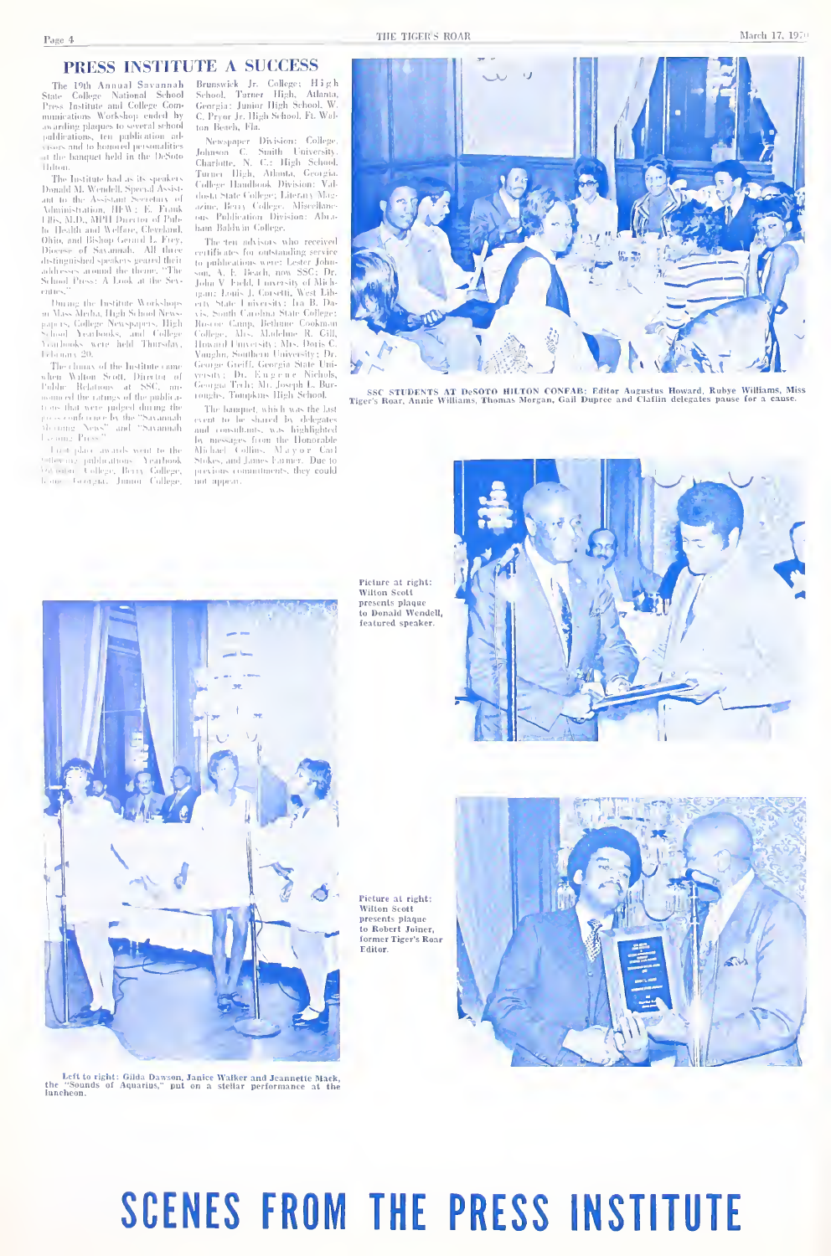## PRESS INSTITUTE A SUCCESS

 $\begin{tabular}{l|c|c|c|c|c} \hline \textbf{I} & \textbf{A} \cup \textbf{A} \supset \textbf{A} & \textbf{A} \cup \textbf{A} \supset \textbf{A} & \textbf{A} \cup \textbf{A} \cup \textbf{A} \cup \textbf{A} \cup \textbf{A} \cup \textbf{A} \cup \textbf{A} \cup \textbf{A} \cup \textbf{A} \cup \textbf{A} \cup \textbf{A} \cup \textbf{A} \cup \textbf{A} \cup \textbf{A} \cup \textbf{A} \cup \textbf{A} \cup \textbf{A} \cup \textbf{A} \cup$ Thing

Then a bottle based of the speakers and the Newlett Downlat Max and the Assistant Secret<br>and the Max and the Assistant Secretary of Audito the Assistant Secretary of Audito the Max and May be the Health Direct Gregorith D and the c

ennes <br/> $\begin{tabular}{l} $mms$ & Darg the Institute Workshop\\ $m$ Was-Merba, High $k$ hold New  
gapars, College Newspapers, High\\ $Ncm] No table 1-1 of subbase, and College\\ $Ncm] The  
Yaraboks, were held Therslar, 12.6  
mansay 20. \end{tabular}$ 

The climax of the Institute cam The climax of the hirdine can<br>be a Soft, Director of Cable . Relations (at SSG, microuse the ratings of the publications)<br> $\alpha$  is the action of the ratio<br> $\alpha$  is the conference by the "Savannah" shows conference by the "S

Learng Prices<br>Collection awards went to the<br>Collective publications (Arathook)<br>Metsian College, Berry Gollege,<br>Lone Georgia, Jumor College,

tom Bearch, Fin.<br>1961, Prespaper Division: College, Johnson C. Smith University, Charlotte, N. C.: High School.<br>Turner High, Athanta, Georgia.<br>Turner High, Athanta, Georgia.<br>College: Hamiltoos. Division: Value.<br>Loudez. Mer

The ten advisors who received estificates for automating section of the formula position of the basis of the space of the polarization of the polarization of the polarization of the polarization of the polarization of the polarization of the polarizat

roughs, Tompkins High Setion.<br>The hanging Aulti Last the Last cent to be shared by delegates<br>and consultants, was highlighted<br>by messages from the Homorable<br>Michael Collins. Maryo r Carl<br>Stokes, and James Emmers. Due to<br>pr not appear

 $\mathbf{A}$ 

SSC STUDENTS AT DeSOTO HILTON CONFAB: Editor Augustus Howard, Rubye Williams, Miss<br>er's Roar, Annie Williams, Thomas Morgan, Gall Dupree and Claffin delegates pause for a cause. Tirer's Road

Picture at right: Wilton Scott presents plaque<br>to Donald Wendell. featured speaker.

Pieture at right: Wilton Scott presents plaque<br>to Robert Joiner, o wooere somer.<br>ormer Tiger's Roar Editor.



# **SCENES FROM THE PRESS INSTITUTE**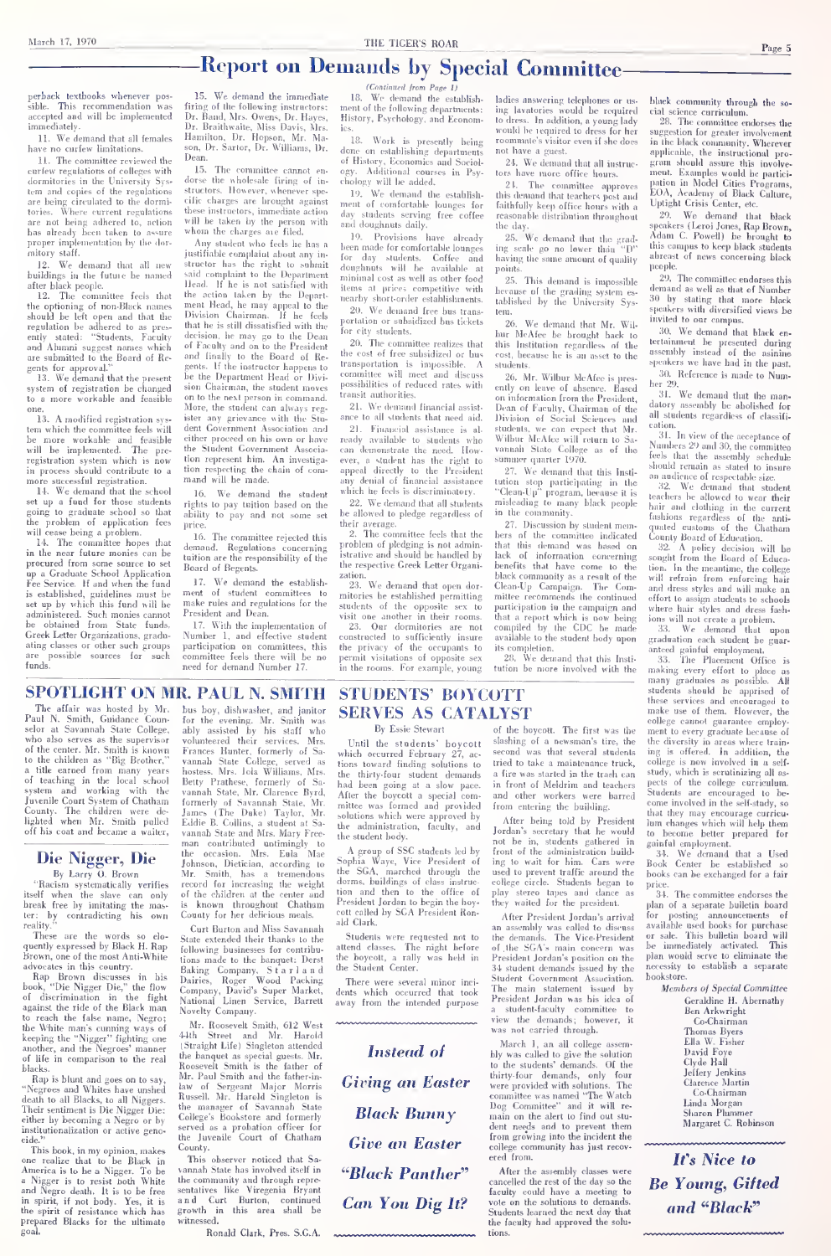# Report on Demands by Special Committee-

perback textbooks whenever pos-sible. This recommendation \*vas accepted and will be implemented immediately.

11. We demand that all females Hami

11. The committee reviewed the earlew regulations of colleges with<br>dormitories in the University Syscurfew limitations of curfew registations of colleges with dormitories in the University Sys- dormitories in the University Sys- tem and copies of the registations are being circulated to the dormitories. Where current regulations these instructors, immediate action<br>are not being athered to, action will be taken by the person with<br>has already been taken to assure whom the charges are filed. can and copies or the regulations<br>are being circulated to the dorminations<br>tories. Where current regulations the<br>are not being adhered to, action with proper implementation by the dur-niitory staff.

12. We demand that all new buildings in the future be named said

after black people.<br>
12. The committee feels that the<br>
the optioning of non-Black names<br>
should be left open and that the Divi<br>
regulation be adhered to as pres-<br>
that the regulation stated: "Students, Faculty deci-<br>
ently and Alumni suggest names which are submitted to the Board of Re-

gents for approval.<br> $13.$  We demand that the present  $\frac{64}{16}$ system of registration be changed to a more workable and feasible

13. A modified registrati 13. A modified registration sys-ister<br>tem which the committee feels will dent tem which the committee feels will allem<br>he more workable and feasible eith<br>will be implemented. The pre- the<br>registration system which is now tion in process should contribute to a more<br>
more successful registration. That<br>
14. We demand that the school

set up a 1980 for those students  $\frac{1}{\text{right}}$ the problem of application fees will cease being a problem.

14. The committee hopes that den<br>in the near future monies can be procured from some source to set up<br>up a Graduate School Application Fee Service. If and when the fund 17. We demand the establish-<br>is established ovidalines must be ment of student committers to is established, guidelines must be set up by which this fund will be administered. Such monies cannot be obtained from State funds. Greek Letter Organizations, gradu-ating classes or other such groups are possible sources for such funds.

15. We demand the immediate<br>firing of the following instructors: firing of the following instructors: Inci<br>Dr. Brailliwaite, Miss Davis, Mrs. Hiss<br>Hamilton, Dr. Hopson, Mr. Ma- Hamilton. Dr. Hopson, Mr. Ma- Hang Dean.<br><sup>15</sup> The committee cannot

15. The committee cannot en- dorse the wholesale firing of in structors, frowever, whenever spe-<br>cific charges are brought against me these instructors, immediate action<br>will be taken by the person with who<br>whom the charges are filed.<br>Any student who feels he has a beginstifiable complaint about any in-

justifiable complaint about any insaid complaint to the Department<br>Head. If he is not satisfied with Head. If he is not satisfied with<br>the action taken by the Depart-<br>ment Head, he may appeal to the Sixon<br>Division Chairman. If he feels that he is still dissatisfied with the  $\frac{1}{1}$  for of Faculty and on to the President and finally to the Board of Re-gents. If the instructor happens to be the Department Head or Divibe the Department Head or Divi-<br>sion Chairman, the student moves<br>on to the next person in command. Tran<br>More, the student can always reg-21<br>ister any grievance with the Stadent Government Association and<br>either proceed on his own or have either proceed on his own or have the Student Government Association represent him. An investiga-tion respecting the chain of com mand will be made.

 $16.$  Will be made.<br> $16.$  We demand the student which he feels is discriminatory.<br>whis to pay tuition based on the  $22.$  We demand that all studen rights to pay tuition based on the set of the set of the set of the set of the set of the set of the set of the price.

The committee rejected this demand. Regulations tuition are the responsibility of the Board of Regents.

17. We demand the establish ment of student committees lo make rule\* and regulations for the President and Dean.

17. With the implementation of 23. Number 1, and effective stud participation on committees, this committee feels tliere will be no need for demand Number 17.

(Continues from Page 1)<br>I8. We demand the establish- lad<br>ment of the following departments: ing<br>History, Psychology, and Econom- to

ics.<br>18. Work is presently being roo done on establishing departments of History. ICconomics and Sociol ogy. Additional courses in Psy-cliology will be added.

19. We demand the establish- th<br>ment of comfortable lounges for fa day students serving free coffee reason<br>and doughnuts daily. the da and doughnuts daily.

19. Provisions have already 2<br>19. Provisions have already ing for day students. Coffee and having<br>doughnuts will be available at points doughnuts will be available at por<br>minimal cost as well as other food  $\frac{2}{3}$ items at prices competitive with her<br>nearby short-order establishments. tab

20. We demand free bus trans-<br>priation or subsidized bas tickets 96 portation or subsidized bas tickets ortation or sums<br>>r city students.

20. The committee realizes that the cost of free subsidized or bus transportation is impossible. A committee will meet and discuss possibilities of reduced rates with<br>transit authorities.

any grievance with the Stu- ance to all students that need aid transit authorities. 21. We demand financial assist-

2.1. runanetas assassores is auto-<br>ready available to students who Will<br>even demonstrate the need. How, vouring<br>ever, a student has the right to summ<br>appeal directly to the President 27<br>any demial of financial assistance u

22. We demand that all students misleading to man allowed to pledge remarkless of in the community be allowed to pledge regardless of heir average.<br>- 2. The committee feels that the

2. The committee feels that the ber<br>problem of pledging is not admin-<br>that the respective Greek Letter Organi-<br>the respective Greek Letter Organi-<br>tration.

zation. 23. We demand that open dor mitories be established permitting students of the opposite sex lo visit one another in their rooms. 23, Our dormitories are not constructed lo sufficiently insure the privacy of the occupants to

permacy or and occupants to<br>it visitations of opposite sex in the rooms. For example, young ladies answering telephones or us ing lavatories would be required lo dress. In addition, a young lady woidd be required to dress for her roommnte's visitor even if she does not have a guest.

21. We demand that all instruc-<br>tors have more office hours.

tors have more office hours.<br>
21. The committee approves pati<br>
this demand that teachers post and EO:<br>
faithfully keep office hours with a Upt<br>
reasonable distribution throughout 2

the day. 25. We demand diat tlin grading scale go no lower than "D" having tlie same amount of quality

points.<br>25. This demand is impossible because of the grading system es- tablished by the University Sys-

tem.<br>26. We demand that Mr. Wilbur McAfee be brought back to<br>this Institution regardless of the ter<br>cost, because he is an asset to the ass

nce to all students that need aid. Division of Social Sciences an<br>21. Financial assistance is al. students, we can expect that N students. 26. Mr. Wilbur McAfee is presently on leave of absence. Based<br>ently on leave of absence. Based ber<br>on information from the President, Dean of Faculty. Chairman of tlie Division of Social Sciences and<br>students, we can expect that Mr.<br>Wilbur McAfee will return to Sa-<br>vannah Slato College as of the Num<br>summer quarter 1970,

27. We demand that this Insti tution stop participating in the "3<br>"Clean-Up" program, because it is tem<br>misleading to many black people  $\frac{1}{\text{hni}}$ 

27. Discussion by student mer 27. Discussion by student mem-<br>
bin the community.<br>
bers of the committee indicated Concerning<br>
that this demand was based on<br>  $\frac{2}{3}$ <br>
lack of information concerning some<br>
benefits that have come to the tion DECK COMMINDITY as a result of the<br>Clean-Up Campaign. The Com-<br>mittee recommends the continued mittee recommends the continued participation in the campaign and that a report which is now being compiled by the CDC be made available lo the student body upon

its completion. 28. We demand that this Insti tution be more involved with the

black community through the soonex community involga the so-<br>cial science curriculum.<br>28. The committee endorses the

suggestion for greater involver suggestion for greater involvement<br>in the black community. Wherever<br>applicable, the instructional pro-<br>gram should assure this involve-<br>ment. Examples would he participation in Model Cities Programs,<br>EOA, Academy of Black Culture,<br>Uptight Crisis Center, etc.

20. Wo demand that black<br>speakers (Leroi Jones, Rap Brown, Adam C. Powell) be brought to<br>this compus to keep black students<br>abreast of news concerning black<br>abreast of news concerning black

people.<br>29. The committee endorses this<br>demand as well as thut of Number<br>30 by stating that more black 30 by stating that more black sjieakers with diversified views be speakers with diversity

30. We demand that black en tertainment be presented during assembly instead of tlio asinine speakers we have had in the past  $30.$  Reference is made to Num

We demand that the n 31. Wc demand that the man-datory assembly be abolished for all students regardless of classifi cation.<br>31. In view of the accentance of

31. In view of the acceptance of Numbers 20 and 30, the commitlee Numbers 29 and 30, the committee<br>feels that the assembly schedule<br>should remain as stated to insure<br>an audience of respectable size.

sional tenant is suffer to insure<br>on audience of respectable size.<br>32. We demand that student<br>teachers be allowed to wear their tenchers he allowed to wear their<br>hair and clothing in the current fashions regardless of the anti- quated eusloms of the Chatham County Hoard of Education.

black community as result of the same black community as a result of the will refrain from enforcing hails<br>black community as a result of the will refrain from enforcing hails 32. A policy decision will be sought from the Board of Educa-Souring bourd of Education.<br>The meant of Education will be<br>sought from the Board of Education. In the meantime, the college<br>will refrain from enforcing hair and dress styles and will make an effort lo assign students to schools where hair styles and dress fash-

ions will not create a problem. 33. We demand that upon graduation each student be guar-anteed gainful employment.

33. The Placement Office is making every effort to place as many graduates as possible. All students should be apprised of these services and encouraged to make use of them. However, the college cannot guarantee employ rounge cannot guarantee emproy-<br>ment to every graduate because of<br>the diversity in areas where train-<br>ing is offered. In addition, the<br>college is now involved in a selfcollege is now involved in a self-<br>study, which is scrutinizing all aspects of the college curriculum. Students are encouraged to be come involved in the self-study, so that they may encourage curricu- lum changes which will help them t enanges winth win map then

gainful employment. 34. We demand that <sup>a</sup> Used Book Center be established so books can be exchanged for a fair price.

pooks can be excnanged for a fair<br>34. The committee endorses the<br>plan of a separate bulletin board<br>for posting announcements of for posting announcements of available used books for purchase or sale. This bulletin board will be immediately activated. This<br>plan would serve to eliminate the necessity to establish a separate bookstore.<br>Members of Special Committee

Geraldine H. Abernathy<br>Ben Arkwright

Co-Chairman Thomas Byers Ella W. Fisher David Foye Clyde Hall Jeffery Jenkins Clarence Martin Linda Morgan Linda Morgan Sharon Plummer Margaret C. Robinson

It's Nice to Be Young, Gifted and ''Black''

SPOTLIGHT ON MR. PAUL N. SMITH

The affair was hosted by Mr.<br>Poul N. Smith, Guidance Coun. Paul N. Smith, Guidance<br>selor at Savannah State at Savannah State College who also serves as the supervisor of the center. Mr. Smith is known to the children as "Big Brother. a title earned from many years of teaching in the local school system and working with the<br>Juvenile Coart System of Chatham System and working with the vanished Court System of Chatham formulation<br>County. The children were de- lam<br>lighted when Mr. Smith pulled Edd<br>off his coat and became a waiter, vani<br>man

# Die Nigger, Die He occasion<br>By Larry O, Brown Mr. Smith By Larry 0. Brown

"Racism systematically verifies itself when the slave can only break free by imitating the masby contradicting his own **Example 1997**<br>These are the words so

These are the words so elo-<br>These are the words so elo-<br>Brown, one of the most Anti-White<br>Brown, one of the most Anti-White<br>advocates in this country.

advocates in this country. Bay<br>hook, "Die Nigger Die," the flow Dair<br>book, "Die Nigger Die," the flow Com<br>of discrimination in the fight Natio<br>tagainst the ride of the Black man Nove<br>to reach the false name. Negro: to reach the false name, Negro; the White mans cunning ways of keeping the "Nigger" fighting one another, and the Negroes' manner of life in comparison to the real

blacks. Rap is blunt and goes on to say, Mr.<br>"Negroes and Whites have unshed haw" death to all Blacks, to all Niggers. Their sentiment is Die Nigger Die; The either by becoming a Negro or by<br>institutionalization or active ceno nalization or active geno-

cide."<br>This book, in my opinion, makes<br>
one realize that to be Black in America is to be a Nigger. To be<br>
a Nigger is to resist both White the<br>
and Negro death. It is to be free sent<br>
in suiti if sot body. Yes it is and in spirit, if not body. Yes, it is the spirit of resistance which has prepared Blacks for the ultimate goat.

bus boy, dishwasher, and janitor for the evening. Mr. Smith was for the evening. Mr. Smith was<br>ably assisted by his staff who<br>volunteered their services. Mrs. Un<br>Frances Hunter, formerly of Sa- whic<br>vannah State College, served as tions<br>hostess. Mrs. Iola Williams, Mrs. the vannah State College, served as<br>hostess. Mrs. Iola Williams. Mrs. the<br>Betty Prathese, formerly of Sa- hac<br>vannah State, Mr. Clarence Byrd, formerly of Savannah State, Mr. mit James (The Duke) Taylor, Mr. <sub>solt</sub><br>Eddie B. Collins, a student at Sa- <sub>the</sub><br>vannah State and Mrs. Mary Free- <sub>the</sub> man contributed untimingly to the occasion of the occasion. Mrs. Eula Mac<br>Dietician, according to man contributed untimingly to<br>the occasion. Mrs. Eula Mac<br>Johnson, Dietician, according to Sop<br>Mr. Smith, has a tremendous the<br>record for increasing the weight dun Formson, trencucian, according to<br>record for increasing the weight<br>of the children at the center and then<br>is known throughout Chatham Fres<br>County for her delicious meals.

Curt Burton and Miss Savannah Stale extended their thanks to the following businesses for contribu-<br>tions made to the banquet: Derst tions made to the banquet: Derst the<br>Baking Company, S t a r 1 a r dhe<br>Dairies, Roger Wood Packing 1<br>Company, David's Super Market, den<br>National Linen Service, Barrett <sub>aws</sub> Novelty Company.

Mr. Roosevelt Smith, 612 West 44th Street and Mr. Harold<br>44th Street and Mr. Harold<br>(Straight Life) Singleton attended (Straight Life) Singleton attended<br>the banquet as special guests, Mr.<br>Roosevelt Smith is the father-in-<br>Mr. Paul Smith and the father-in-<br>law of Sergeant Major Morris Russell. Mr. Harold Singleton is the manager of Savannah State College's Bookstore and formerly served as a probation officer for tonege's pookstore and tormerly<br>served as a probation officer for<br>the luvenile Court of Chatham

This observer noticed that So This observer noticed that Sa- vannah State has involved itself in the community and through repre-<br>sentatives like Viregenia Bryant<br>and Curt Burton, continued<br>growth in this area shall be<br>witnessed.

Ronald Clark, Pies. S.G.A.

STUDENTS' BOYCOTT SERVES AS CATALYST By Essie Stewart<br>Until the students' hoveott

Until the students' hoy-cott soar<br>which occurred February 27, ac-<br>second finding solutions to tried<br>the thirty-four student demands a fixed<br>had been going at a slow pace. In fixed<br>filter the boyerott a special corn- and<br>mi the administration, faculty, and

the student body.<br>
A group of SSC students led by from<br>Sophia Waye, Vice President of ing<br>behia Waye, Vice President of ing<br>dorms, huildings of class instruction<br>and then to the office of play<br>treatident Jordan to begin it

ald Clark.<br>Students were requested not to the<br>attend classes. The night before of<br>the boycott, a rally was held in Pri<br>the Student Center.<br>There were several minor inci-<br>Students which occurred that took<br>The

There were several minor incidents which occurred that took<br>away from the intended purpose

Instead of Give an Easter solled "Black Panther" After the assembly classes were Can You Dig It?

 $\begin{array}{ll} \textbf{M} & \textbf{S} & \textbf{S} \\ \text{of the boxout.} & \textbf{The first was the mass} \\ \text{slashing of a newsman's tire, the the second was that several students in a.} \end{array}$ tried to take a maintenance truck,<br>a fire was started in the trash can<br>in front of Meldrim and teachers and other workers were barred Stu a fire was started in the trash can<br>in front of Meldrim and teachers from entering the building.

After being told by Presiden Jordan's secretary that he would not be in, students gathered in gain<br>front of the administration build-<br>ing to wait for him. Cars were<br>used to prevent traffic around the hoo college circle. Students began to pri<br>play stereo tapes and dance as they waited for the president.

After President Jordan's arrival Atter Fresuent Jordan's arrivational concerns available to discuss the demands. The Vice-President or a set of the SGA's main concern was been President Jordan's position on the plan President Jordan's position on the 34 student demands issued by the Student Government Association. Book<br>Student Government Association. Book<br>The main statement issued by<br>President Jordan was his idea of<br>a student-faculty committee to a student-faculty committee to view the demands ; however, it was not carried through.

**Giving an Easter** thirty-four demands, only four<br>committee was named "The Watch **Black Bunny** bog Committee" and it will re-March 1, an all college assem-<br>bly was called to give the solution<br>to the students' demands. Of the<br>thirty-four demands, only four<br>were provided with solutions. The<br>were provided with solutions. ittee was named ''The Watch<br>Committee'' and it will re Dog Committee" and it main on the alert to find out stu- dent needs and to prevent them from growing into the incident the e community has just recovered from.

> After the assembly classes were<br>cancelled the rest of the day so the **R** faculty could have a meeting to vole on the solutions to demands. Students learned the next day that the faculty had approved the solutions.

Page 5